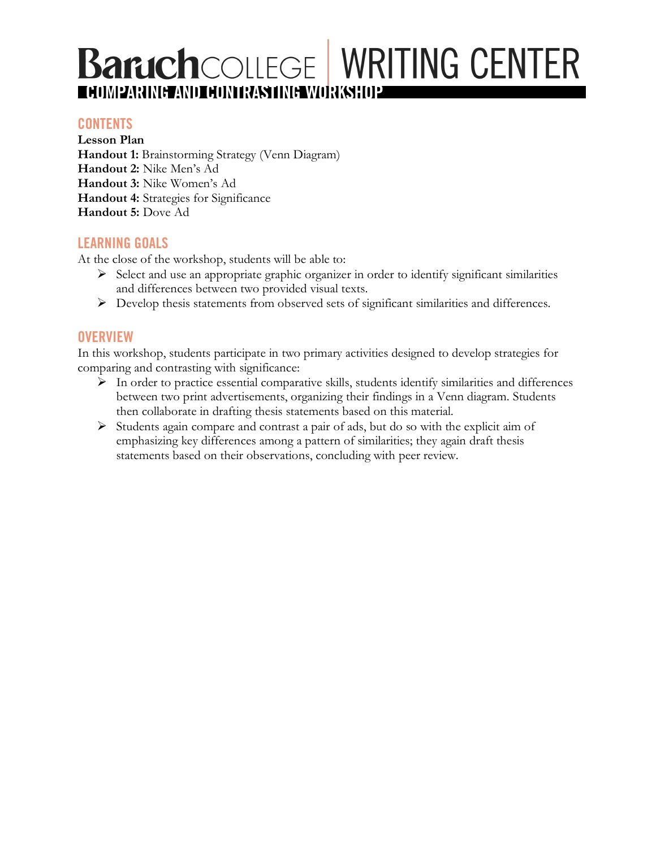# z **COMPARING AND CONTRASTING WORKSHOP**

## **CONTENTS**

**Lesson Plan Handout 1:** Brainstorming Strategy (Venn Diagram) **Handout 2:** Nike Men's Ad **Handout 3:** Nike Women's Ad **Handout 4:** Strategies for Significance **Handout 5:** Dove Ad

## **LEARNING GOALS**

At the close of the workshop, students will be able to:

- $\triangleright$  Select and use an appropriate graphic organizer in order to identify significant similarities and differences between two provided visual texts.
- Ø Develop thesis statements from observed sets of significant similarities and differences.

## **OVERVIEW**

In this workshop, students participate in two primary activities designed to develop strategies for comparing and contrasting with significance:

- Ø In order to practice essential comparative skills, students identify similarities and differences between two print advertisements, organizing their findings in a Venn diagram. Students then collaborate in drafting thesis statements based on this material.
- $\triangleright$  Students again compare and contrast a pair of ads, but do so with the explicit aim of emphasizing key differences among a pattern of similarities; they again draft thesis statements based on their observations, concluding with peer review.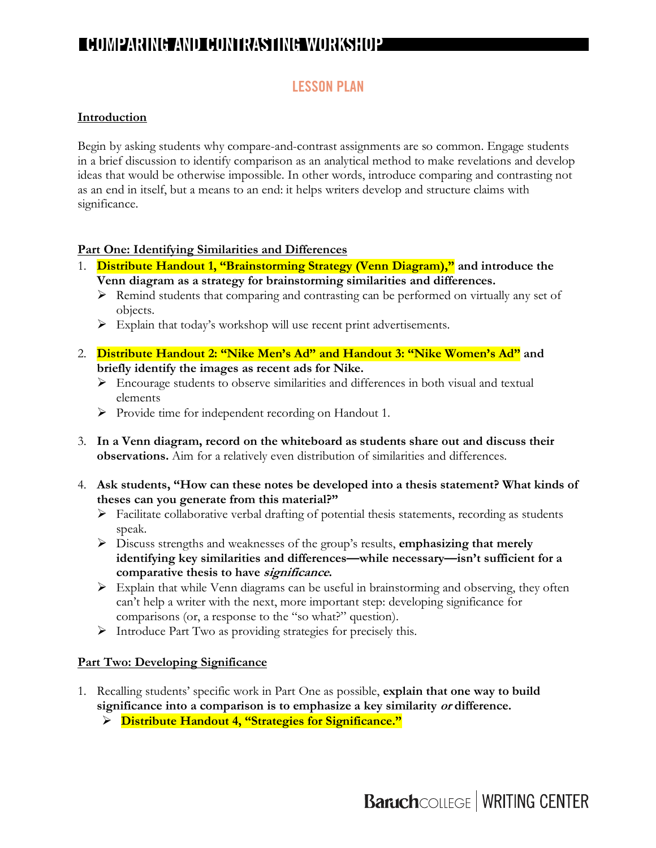## **COMPARING AND CONTRASTING WORKSHOP**

## **LESSON PLAN**

#### **Introduction**

Begin by asking students why compare-and-contrast assignments are so common. Engage students in a brief discussion to identify comparison as an analytical method to make revelations and develop ideas that would be otherwise impossible. In other words, introduce comparing and contrasting not as an end in itself, but a means to an end: it helps writers develop and structure claims with significance.

#### **Part One: Identifying Similarities and Differences**

- 1. **Distribute Handout 1, "Brainstorming Strategy (Venn Diagram)," and introduce the Venn diagram as a strategy for brainstorming similarities and differences.**
	- $\triangleright$  Remind students that comparing and contrasting can be performed on virtually any set of objects.
	- $\triangleright$  Explain that today's workshop will use recent print advertisements.
- 2. **Distribute Handout 2: "Nike Men's Ad" and Handout 3: "Nike Women's Ad" and briefly identify the images as recent ads for Nike.**
	- $\triangleright$  Encourage students to observe similarities and differences in both visual and textual elements
	- $\triangleright$  Provide time for independent recording on Handout 1.
- 3. **In a Venn diagram, record on the whiteboard as students share out and discuss their observations.** Aim for a relatively even distribution of similarities and differences.
- 4. **Ask students, "How can these notes be developed into a thesis statement? What kinds of theses can you generate from this material?"**
	- $\triangleright$  Facilitate collaborative verbal drafting of potential thesis statements, recording as students speak.
	- Ø Discuss strengths and weaknesses of the group's results, **emphasizing that merely identifying key similarities and differences—while necessary—isn't sufficient for a comparative thesis to have significance.**
	- $\triangleright$  Explain that while Venn diagrams can be useful in brainstorming and observing, they often can't help a writer with the next, more important step: developing significance for comparisons (or, a response to the "so what?" question).
	- Ø Introduce Part Two as providing strategies for precisely this.

#### **Part Two: Developing Significance**

- 1. Recalling students' specific work in Part One as possible, **explain that one way to build significance into a comparison is to emphasize a key similarity or difference.**
	- Ø **Distribute Handout 4, "Strategies for Significance."**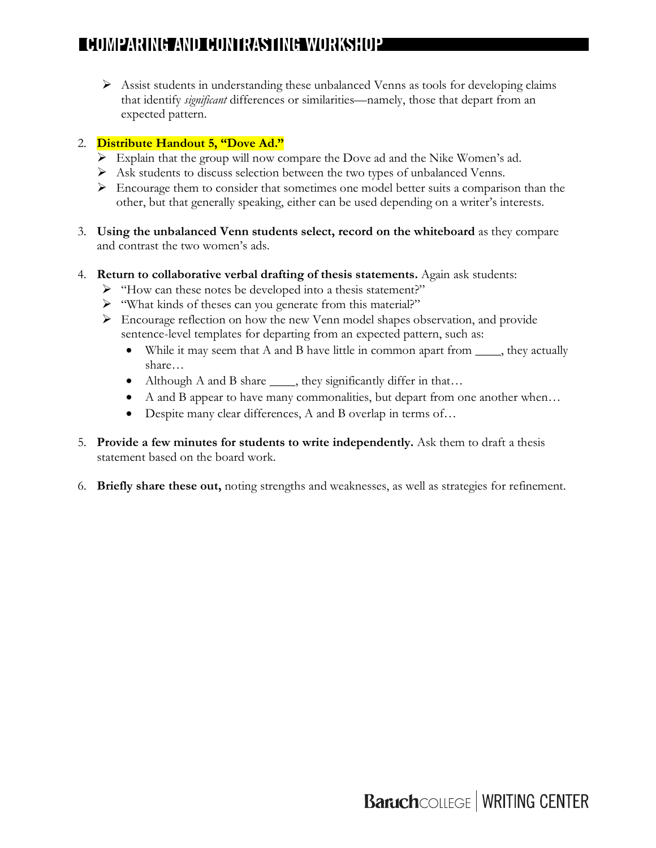## **COMPARING AND CONTRASTING WORKSHOP**

**[NAME] WORKSHOP**  $\triangleright$  Assist students in understanding these unbalanced Venns as tools for developing claims that identify *significant* differences or similarities—namely, those that depart from an expected pattern.

### 2. **Distribute Handout 5, "Dove Ad."**

- $\triangleright$  Explain that the group will now compare the Dove ad and the Nike Women's ad.
- Ø Ask students to discuss selection between the two types of unbalanced Venns.
- $\triangleright$  Encourage them to consider that sometimes one model better suits a comparison than the other, but that generally speaking, either can be used depending on a writer's interests.
- 3. **Using the unbalanced Venn students select, record on the whiteboard** as they compare and contrast the two women's ads.
- 4. **Return to collaborative verbal drafting of thesis statements.** Again ask students:
	- Ø "How can these notes be developed into a thesis statement?"
	- Ø "What kinds of theses can you generate from this material?"
	- $\triangleright$  Encourage reflection on how the new Venn model shapes observation, and provide sentence-level templates for departing from an expected pattern, such as:
		- While it may seem that A and B have little in common apart from \_\_\_\_, they actually share…
		- Although A and B share \_\_\_\_, they significantly differ in that...
		- A and B appear to have many commonalities, but depart from one another when...
		- Despite many clear differences, A and B overlap in terms of...
- 5. **Provide a few minutes for students to write independently.** Ask them to draft a thesis statement based on the board work.
- 6. **Briefly share these out,** noting strengths and weaknesses, as well as strategies for refinement.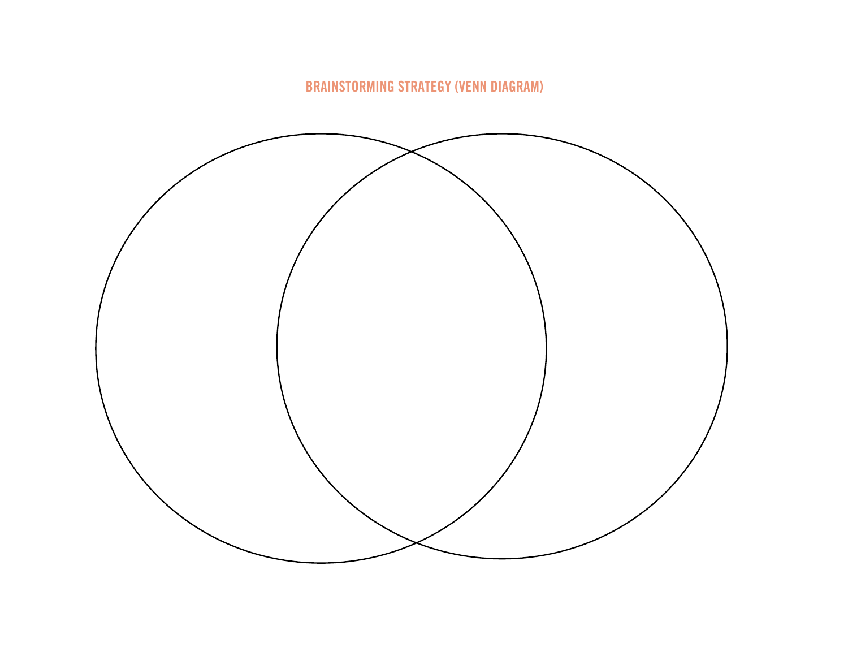**BRAINSTORMING STRATEGY (VENN DIAGRAM)**

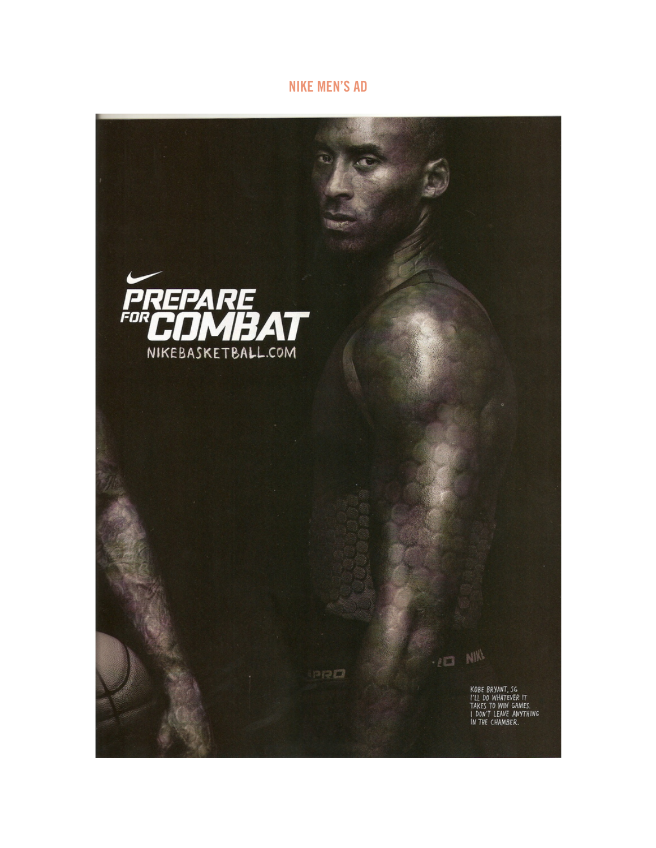## **NIKE MEN'S AD**

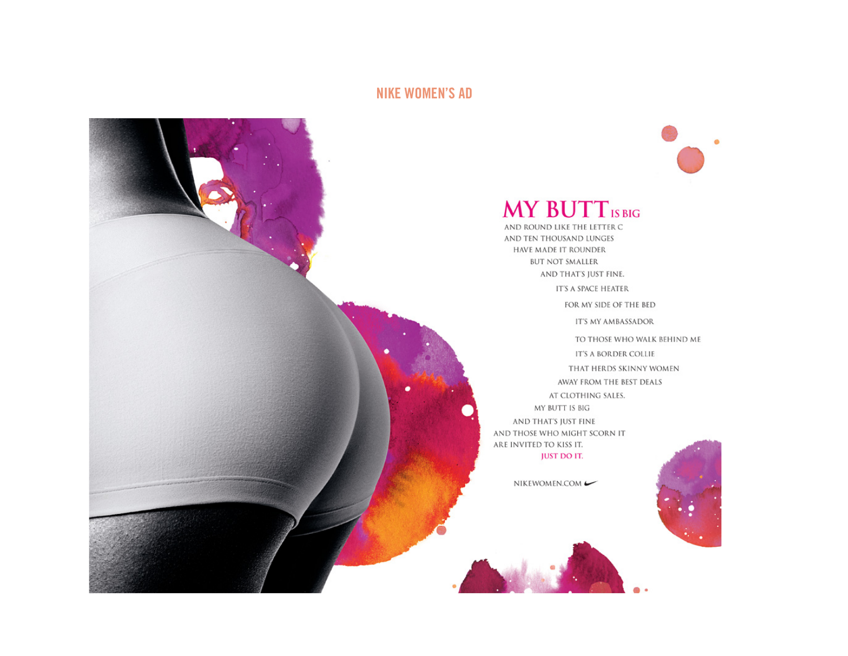## **NIKE WOMEN'S AD**



## **MY BUTT IS BIG**

AND TEN THOUSAND LUNGES HAVE MADE IT ROUNDER **BUT NOT SMALLER** AND THAT'S JUST FINE. IT'S A SPACE HEATER

FOR MY SIDE OF THE BED

IT'S MY AMBASSADOR

TO THOSE WHO WALK BEHIND ME IT'S A BORDER COLLIE THAT HERDS SKINNY WOMEN AWAY FROM THE BEST DEALS AT CLOTHING SALES. MY BUTT IS BIG AND THAT'S JUST FINE AND THOSE WHO MIGHT SCORN IT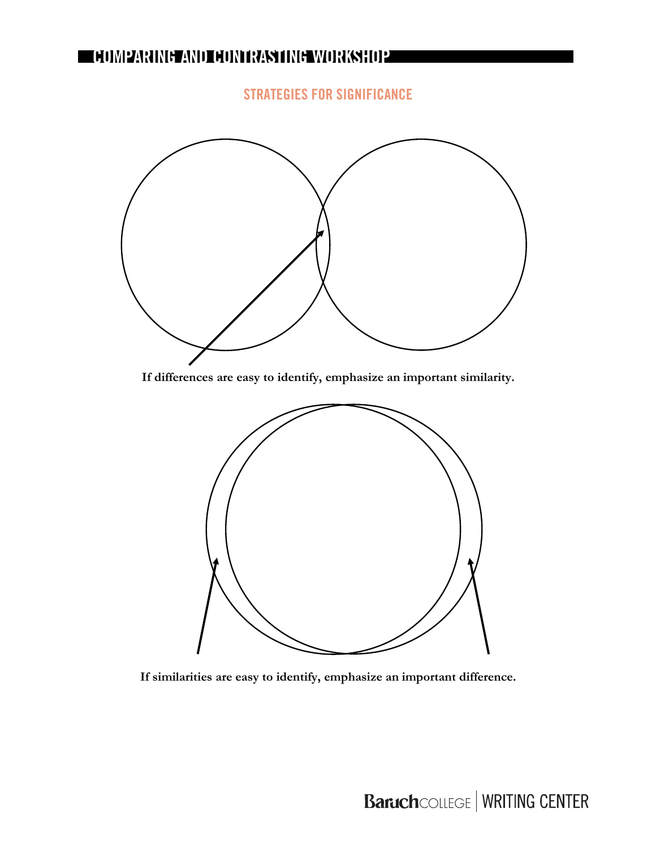## **COMPARING AND CONTRASTING WORKSHOP**

## **STRATEGIES FOR SIGNIFICANCE**



**If differences are easy to identify, emphasize an important similarity.**



**If similarities are easy to identify, emphasize an important difference.**

# **Baruch**COLLEGE | WRITING CENTER